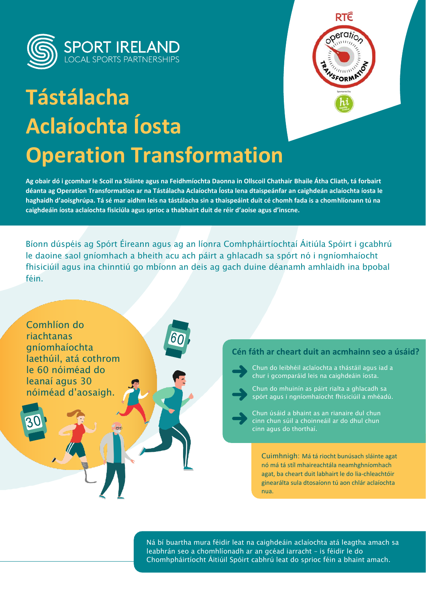

# **Tástálacha Aclaíochta Íosta Operation Transformation**



**Ag obair dó i gcomhar le Scoil na Sláinte agus na Feidhmíochta Daonna in Ollscoil Chathair Bhaile Átha Cliath, tá forbairt déanta ag Operation Transformation ar na Tástálacha Aclaíochta Íosta lena dtaispeánfar an caighdeán aclaíochta íosta le haghaidh d'aoisghrúpa. Tá sé mar aidhm leis na tástálacha sin a thaispeáint duit cé chomh fada is a chomhlíonann tú na caighdeáin íosta aclaíochta fisiciúla agus sprioc a thabhairt duit de réir d'aoise agus d'inscne.**

Bíonn dúspéis ag Spórt Éireann agus ag an líonra Comhpháirtíochtaí Áitiúla Spóirt i gcabhrú le daoine saol gníomhach a bheith acu ach páirt a ghlacadh sa spórt nó i ngníomhaíocht fhisiciúil agus ina chinntiú go mbíonn an deis ag gach duine déanamh amhlaidh ina bpobal féin.



Ná bí buartha mura féidir leat na caighdeáin aclaíochta atá leagtha amach sa leabhrán seo a chomhlíonadh ar an gcéad iarracht – is féidir le do Chomhpháirtíocht Áitiúil Spóirt cabhrú leat do sprioc féin a bhaint amach.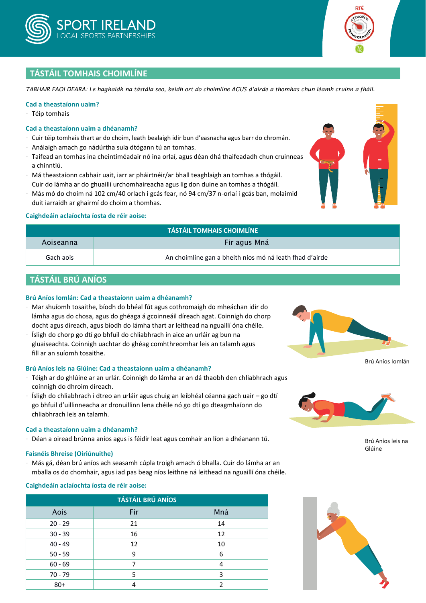



l.

l. l<br>E  $\overline{a}$ l. l

# **TÁSTÁIL TOMHAIS CHOIMLÍNE**

*TABHAIR FAOI DEARA: Le haghaidh na tástála seo, beidh ort do choimlíne AGUS d'airde a thomhas chun léamh cruinn a fháil.*

#### **Cad a theastaíonn uaim?**

• Téip tomhais

#### **Cad a theastaíonn uaim a dhéanamh?**

- Cuir téip tomhais thart ar do choim, leath bealaigh idir bun d'easnacha agus barr do chromán.
- Análaigh amach go nádúrtha sula dtógann tú an tomhas.
- Taifead an tomhas ina cheintiméadair nó ina orlaí, agus déan dhá thaifeadadh chun cruinneas a chinntiú.
- Má theastaíonn cabhair uait, iarr ar pháirtnéir/ar bhall teaghlaigh an tomhas a thógáil. Cuir do lámha ar do ghuaillí urchomhaireacha agus lig don duine an tomhas a thógáil.
- Más mó do choim ná 102 cm/40 orlach i gcás fear, nó 94 cm/37 n-orlaí i gcás ban, molaimid duit iarraidh ar ghairmí do choim a thomhas.

#### **Caighdeáin aclaíochta íosta de réir aoise:**

| <b>TÁSTÁIL TOMHAIS CHOIMLÍNE</b> |                                                         |  |  |  |
|----------------------------------|---------------------------------------------------------|--|--|--|
| Aoiseanna                        | Fir agus Mná                                            |  |  |  |
| Gach aois                        | An choimlíne gan a bheith níos mó ná leath fhad d'airde |  |  |  |

# **TÁSTÁIL BRÚ ANÍOS**

#### **Brú Aníos Iomlán: Cad a theastaíonn uaim a dhéanamh?**

- Mar shuíomh tosaithe, bíodh do bhéal fút agus cothromaigh do mheáchan idir do lámha agus do chosa, agus do ghéaga á gcoinneáil díreach agat. Coinnigh do chorp docht agus díreach, agus bíodh do lámha thart ar leithead na nguaillí óna chéile.
- Ísligh do chorp go dtí go bhfuil do chliabhrach in aice an urláir ag bun na gluaiseachta. Coinnigh uachtar do ghéag comhthreomhar leis an talamh agus fill ar an suíomh tosaithe.

#### **Brú Aníos leis na Glúine: Cad a theastaíonn uaim a dhéanamh?**

- Téigh ar do ghlúine ar an urlár. Coinnigh do lámha ar an dá thaobh den chliabhrach agus coinnigh do dhroim díreach.
- $\cdot$  Ísligh do chliabhrach i dtreo an urláir agus chuig an leibhéal céanna gach uair go dtí go bhfuil d'uillinneacha ar dronuillinn lena chéile nó go dtí go dteagmhaíonn do chliabhrach leis an talamh.

#### **Cad a theastaíonn uaim a dhéanamh?**

• Déan a oiread brúnna aníos agus is féidir leat agus comhair an líon a dhéanann tú.

#### **Faisnéis Bhreise (Oiriúnuithe)**

• Más gá, déan brú aníos ach seasamh cúpla troigh amach ó bhalla. Cuir do lámha ar an mballa os do chomhair, agus iad pas beag níos leithne ná leithead na nguaillí óna chéile.

#### **Caighdeáin aclaíochta íosta de réir aoise:**

| <b>TÁSTÁIL BRÚ ANÍOS</b> |     |     |  |  |  |  |
|--------------------------|-----|-----|--|--|--|--|
| Aois                     | Fir | Mná |  |  |  |  |
| $20 - 29$                | 21  | 14  |  |  |  |  |
| $30 - 39$                | 16  | 12  |  |  |  |  |
| $40 - 49$                | 12  | 10  |  |  |  |  |
| $50 - 59$                | 9   | 6   |  |  |  |  |
| $60 - 69$                | 7   | 4   |  |  |  |  |
| $70 - 79$                | 5   | 3   |  |  |  |  |
| $80+$                    |     | ำ   |  |  |  |  |





Brú Aníos leis na Glúine

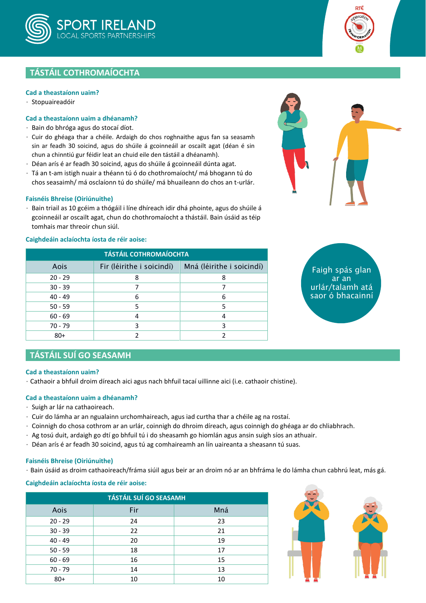



### **Cad a theastaíonn uaim?**

• Stopuaireadóir

#### **Cad a theastaíonn uaim a dhéanamh?**

- Bain do bhróga agus do stocaí díot.
- Cuir do ghéaga thar a chéile. Ardaigh do chos roghnaithe agus fan sa seasamh sin ar feadh 30 soicind, agus do shúile á gcoinneáil ar oscailt agat (déan é sin chun a chinntiú gur féidir leat an chuid eile den tástáil a dhéanamh).
- Déan arís é ar feadh 30 soicind, agus do shúile á gcoinneáil dúnta agat.
- Tá an t-am istigh nuair a théann tú ó do chothromaíocht/ má bhogann tú do chos seasaimh/ má osclaíonn tú do shúile/ má bhuaileann do chos an t-urlár.

#### **Faisnéis Bhreise (Oiriúnuithe)**

• Bain triail as 10 gcéim a thógáil i líne dhíreach idir dhá phointe, agus do shúile á gcoinneáil ar oscailt agat, chun do chothromaíocht a thástáil. Bain úsáid as téip tomhais mar threoir chun siúl.

#### **Caighdeáin aclaíochta íosta de réir aoise:**

| <b>TÁSTÁIL COTHROMAÍOCHTA</b> |                           |                           |  |  |  |  |  |  |
|-------------------------------|---------------------------|---------------------------|--|--|--|--|--|--|
| Aois                          | Fir (léirithe i soicindí) | Mná (léirithe i soicindí) |  |  |  |  |  |  |
| $20 - 29$                     | 8                         | 8                         |  |  |  |  |  |  |
| $30 - 39$                     |                           |                           |  |  |  |  |  |  |
| $40 - 49$                     | 6                         | 6                         |  |  |  |  |  |  |
| $50 - 59$                     | 5                         |                           |  |  |  |  |  |  |
| $60 - 69$                     | 4                         |                           |  |  |  |  |  |  |
| $70 - 79$                     | 3                         | ว                         |  |  |  |  |  |  |
| $80+$                         |                           |                           |  |  |  |  |  |  |



Faigh spás glan ar an urlár/talamh atá saor ó bhacainní

## **TÁSTÁIL SUÍ GO SEASAMH**

#### **Cad a theastaíonn uaim?**

• Cathaoir a bhfuil droim díreach aici agus nach bhfuil tacaí uillinne aici (i.e. cathaoir chistine).

#### **Cad a theastaíonn uaim a dhéanamh?**

- Suigh ar lár na cathaoireach.
- Cuir do lámha ar an ngualainn urchomhaireach, agus iad curtha thar a chéile ag na rostaí.
- Coinnigh do chosa cothrom ar an urlár, coinnigh do dhroim díreach, agus coinnigh do ghéaga ar do chliabhrach.
- Ag tosú duit, ardaigh go dtí go bhfuil tú i do sheasamh go hiomlán agus ansin suigh síos an athuair.
- Déan arís é ar feadh 30 soicind, agus tú ag comhaireamh an lín uaireanta a sheasann tú suas.

#### **Faisnéis Bhreise (Oiriúnuithe)**

• Bain úsáid as droim cathaoireach/fráma siúil agus beir ar an droim nó ar an bhfráma le do lámha chun cabhrú leat, más gá.

#### **Caighdeáin aclaíochta íosta de réir aoise:**

| <b>TÁSTÁIL SUÍ GO SEASAMH</b> |     |     |  |  |  |  |  |
|-------------------------------|-----|-----|--|--|--|--|--|
| Aois                          | Fir | Mná |  |  |  |  |  |
| $20 - 29$                     | 24  | 23  |  |  |  |  |  |
| $30 - 39$                     | 22  | 21  |  |  |  |  |  |
| $40 - 49$                     | 20  | 19  |  |  |  |  |  |
| $50 - 59$                     | 18  | 17  |  |  |  |  |  |
| $60 - 69$                     | 16  | 15  |  |  |  |  |  |
| $70 - 79$                     | 14  | 13  |  |  |  |  |  |
| $80+$                         | 10  |     |  |  |  |  |  |